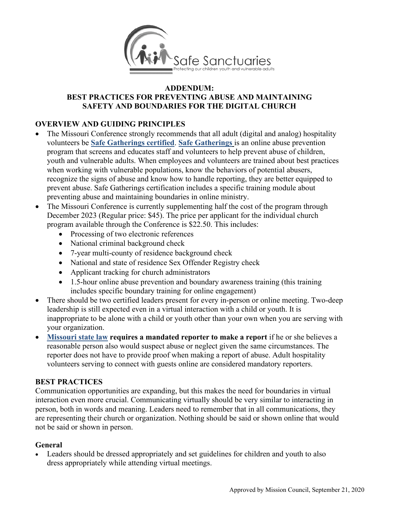

#### **ADDENDUM:**

#### **BEST PRACTICES FOR PREVENTING ABUSE AND MAINTAINING SAFETY AND BOUNDARIES FOR THE DIGITAL CHURCH**

### **OVERVIEW AND GUIDING PRINCIPLES**

- The Missouri Conference strongly recommends that all adult (digital and analog) hospitality volunteers be **[Safe Gatherings certified](https://www.moumethodist.org/safesanctuaries)**. **[Safe Gatherings](https://safegatherings.com/)** is an online abuse prevention program that screens and educates staff and volunteers to help prevent abuse of children, youth and vulnerable adults. When employees and volunteers are trained about best practices when working with vulnerable populations, know the behaviors of potential abusers, recognize the signs of abuse and know how to handle reporting, they are better equipped to prevent abuse. Safe Gatherings certification includes a specific training module about preventing abuse and maintaining boundaries in online ministry.
- The Missouri Conference is currently supplementing half the cost of the program through December 2023 (Regular price: \$45). The price per applicant for the individual church program available through the Conference is \$22.50. This includes:
	- Processing of two electronic references
	- National criminal background check
	- 7-year multi-county of residence background check
	- National and state of residence Sex Offender Registry check
	- Applicant tracking for church administrators
	- 1.5-hour online abuse prevention and boundary awareness training (this training includes specific boundary training for online engagement)
- There should be two certified leaders present for every in-person or online meeting. Two-deep leadership is still expected even in a virtual interaction with a child or youth. It is inappropriate to be alone with a child or youth other than your own when you are serving with your organization.
- **[Missouri state law](http://www.moga.mo.gov/mostatutes/stathtml/21000001151.html) requires a mandated reporter to make a report** if he or she believes a reasonable person also would suspect abuse or neglect given the same circumstances. The reporter does not have to provide proof when making a report of abuse. Adult hospitality volunteers serving to connect with guests online are considered mandatory reporters.

### **BEST PRACTICES**

Communication opportunities are expanding, but this makes the need for boundaries in virtual interaction even more crucial. Communicating virtually should be very similar to interacting in person, both in words and meaning. Leaders need to remember that in all communications, they are representing their church or organization. Nothing should be said or shown online that would not be said or shown in person.

### **General**

• Leaders should be dressed appropriately and set guidelines for children and youth to also dress appropriately while attending virtual meetings.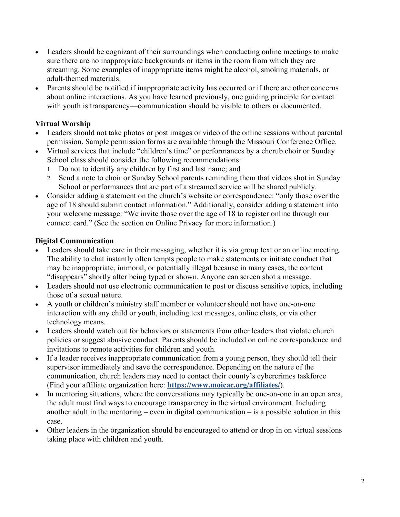- Leaders should be cognizant of their surroundings when conducting online meetings to make sure there are no inappropriate backgrounds or items in the room from which they are streaming. Some examples of inappropriate items might be alcohol, smoking materials, or adult-themed materials.
- Parents should be notified if inappropriate activity has occurred or if there are other concerns about online interactions. As you have learned previously, one guiding principle for contact with youth is transparency—communication should be visible to others or documented.

# **Virtual Worship**

- Leaders should not take photos or post images or video of the online sessions without parental permission. Sample permission forms are available through the Missouri Conference Office.
- Virtual services that include "children's time" or performances by a cherub choir or Sunday School class should consider the following recommendations:
	- 1. Do not to identify any children by first and last name; and
	- 2. Send a note to choir or Sunday School parents reminding them that videos shot in Sunday School or performances that are part of a streamed service will be shared publicly.
- Consider adding a statement on the church's website or correspondence: "only those over the age of 18 should submit contact information." Additionally, consider adding a statement into your welcome message: "We invite those over the age of 18 to register online through our connect card." (See the section on Online Privacy for more information.)

### **Digital Communication**

- Leaders should take care in their messaging, whether it is via group text or an online meeting. The ability to chat instantly often tempts people to make statements or initiate conduct that may be inappropriate, immoral, or potentially illegal because in many cases, the content "disappears" shortly after being typed or shown. Anyone can screen shot a message.
- Leaders should not use electronic communication to post or discuss sensitive topics, including those of a sexual nature.
- A youth or children's ministry staff member or volunteer should not have one-on-one interaction with any child or youth, including text messages, online chats, or via other technology means.
- Leaders should watch out for behaviors or statements from other leaders that violate church policies or suggest abusive conduct. Parents should be included on online correspondence and invitations to remote activities for children and youth.
- If a leader receives inappropriate communication from a young person, they should tell their supervisor immediately and save the correspondence. Depending on the nature of the communication, church leaders may need to contact their county's cybercrimes taskforce (Find your affiliate organization here: **<https://www.moicac.org/affiliates/>**).
- In mentoring situations, where the conversations may typically be one-on-one in an open area, the adult must find ways to encourage transparency in the virtual environment. Including another adult in the mentoring – even in digital communication – is a possible solution in this case.
- Other leaders in the organization should be encouraged to attend or drop in on virtual sessions taking place with children and youth.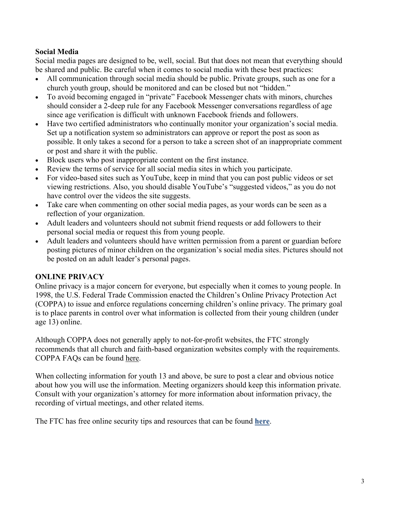# **Social Media**

Social media pages are designed to be, well, social. But that does not mean that everything should be shared and public. Be careful when it comes to social media with these best practices:

- All communication through social media should be public. Private groups, such as one for a church youth group, should be monitored and can be closed but not "hidden."
- To avoid becoming engaged in "private" Facebook Messenger chats with minors, churches should consider a 2-deep rule for any Facebook Messenger conversations regardless of age since age verification is difficult with unknown Facebook friends and followers.
- Have two certified administrators who continually monitor your organization's social media. Set up a notification system so administrators can approve or report the post as soon as possible. It only takes a second for a person to take a screen shot of an inappropriate comment or post and share it with the public.
- Block users who post inappropriate content on the first instance.
- Review the terms of service for all social media sites in which you participate.
- For video-based sites such as YouTube, keep in mind that you can post public videos or set viewing restrictions. Also, you should disable YouTube's "suggested videos," as you do not have control over the videos the site suggests.
- Take care when commenting on other social media pages, as your words can be seen as a reflection of your organization.
- Adult leaders and volunteers should not submit friend requests or add followers to their personal social media or request this from young people.
- Adult leaders and volunteers should have written permission from a parent or guardian before posting pictures of minor children on the organization's social media sites. Pictures should not be posted on an adult leader's personal pages.

### **ONLINE PRIVACY**

Online privacy is a major concern for everyone, but especially when it comes to young people. In 1998, the U.S. Federal Trade Commission enacted the Children's Online Privacy Protection Act (COPPA) to issue and enforce regulations concerning children's online privacy. The primary goal is to place parents in control over what information is collected from their young children (under age 13) online.

Although COPPA does not generally apply to not-for-profit websites, the FTC strongly recommends that all church and faith-based organization websites comply with the requirements. COPPA FAQs can be found [here.](https://www.ftc.gov/tips-advice/business-center/guidance/complying-coppa-frequently-asked-questions-0)

When collecting information for youth 13 and above, be sure to post a clear and obvious notice about how you will use the information. Meeting organizers should keep this information private. Consult with your organization's attorney for more information about information privacy, the recording of virtual meetings, and other related items.

The FTC has free online security tips and resources that can be found **[here](https://www.consumer.ftc.gov/features/feature-0038-onguardonline)**.